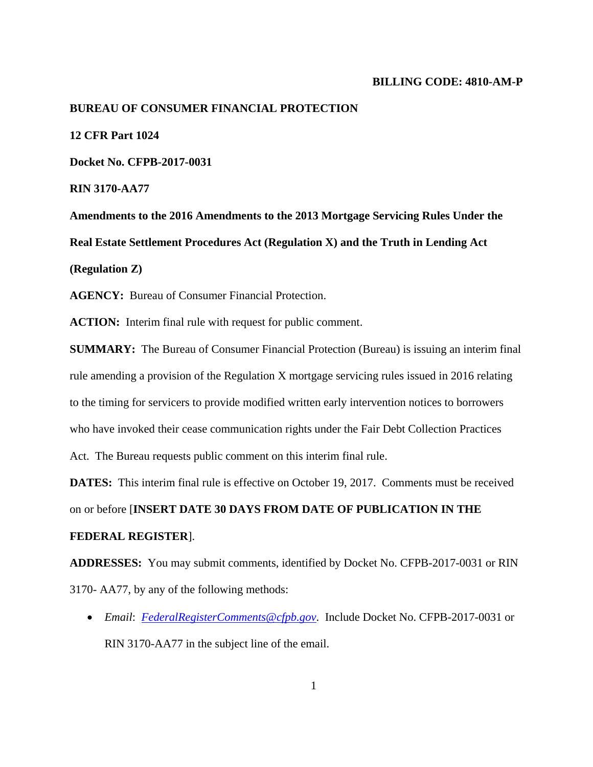## **BILLING CODE: 4810-AM-P**

#### **BUREAU OF CONSUMER FINANCIAL PROTECTION**

**12 CFR Part 1024**

**Docket No. CFPB-2017-0031** 

**RIN 3170-AA77** 

**Amendments to the 2016 Amendments to the 2013 Mortgage Servicing Rules Under the Real Estate Settlement Procedures Act (Regulation X) and the Truth in Lending Act (Regulation Z)** 

**AGENCY:** Bureau of Consumer Financial Protection.

**ACTION:** Interim final rule with request for public comment.

**SUMMARY:** The Bureau of Consumer Financial Protection (Bureau) is issuing an interim final rule amending a provision of the Regulation X mortgage servicing rules issued in 2016 relating to the timing for servicers to provide modified written early intervention notices to borrowers who have invoked their cease communication rights under the Fair Debt Collection Practices Act. The Bureau requests public comment on this interim final rule.

**DATES:** This interim final rule is effective on October 19, 2017. Comments must be received on or before [**INSERT DATE 30 DAYS FROM DATE OF PUBLICATION IN THE FEDERAL REGISTER**].

**ADDRESSES:** You may submit comments, identified by Docket No. CFPB-2017-0031 or RIN 3170- AA77, by any of the following methods:

 *Email*: *FederalRegisterComments@cfpb.gov*. Include Docket No. CFPB-2017-0031 or RIN 3170-AA77 in the subject line of the email.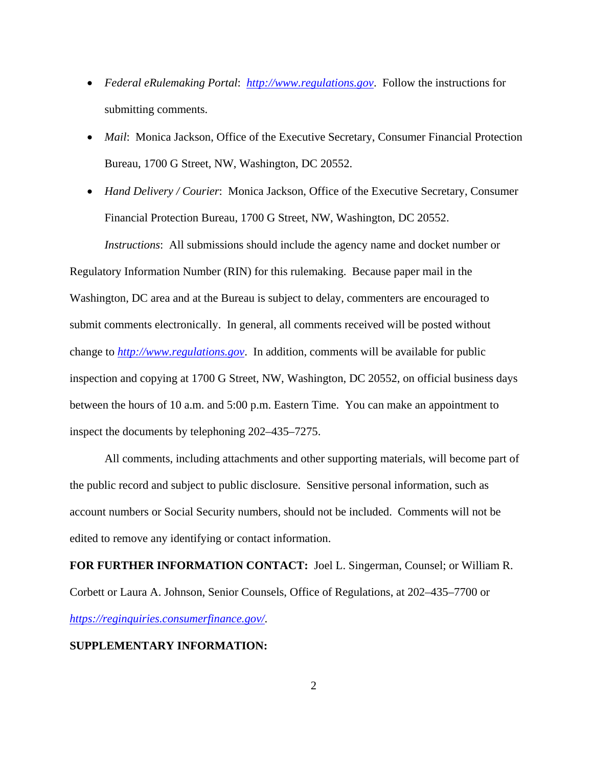- *Federal eRulemaking Portal*: *http://www.regulations.gov*. Follow the instructions for submitting comments.
- *Mail*: Monica Jackson, Office of the Executive Secretary, Consumer Financial Protection Bureau, 1700 G Street, NW, Washington, DC 20552.
- *Hand Delivery / Courier*: Monica Jackson, Office of the Executive Secretary, Consumer Financial Protection Bureau, 1700 G Street, NW, Washington, DC 20552. *Instructions*: All submissions should include the agency name and docket number or

Regulatory Information Number (RIN) for this rulemaking. Because paper mail in the Washington, DC area and at the Bureau is subject to delay, commenters are encouraged to submit comments electronically. In general, all comments received will be posted without change to *http://www.regulations.gov*. In addition, comments will be available for public inspection and copying at 1700 G Street, NW, Washington, DC 20552, on official business days between the hours of 10 a.m. and 5:00 p.m. Eastern Time. You can make an appointment to inspect the documents by telephoning 202–435–7275.

All comments, including attachments and other supporting materials, will become part of the public record and subject to public disclosure. Sensitive personal information, such as account numbers or Social Security numbers, should not be included. Comments will not be edited to remove any identifying or contact information.

**FOR FURTHER INFORMATION CONTACT:** Joel L. Singerman, Counsel; or William R. Corbett or Laura A. Johnson, Senior Counsels, Office of Regulations, at 202–435–7700 or *https://reginquiries.consumerfinance.gov/*.

# **SUPPLEMENTARY INFORMATION:**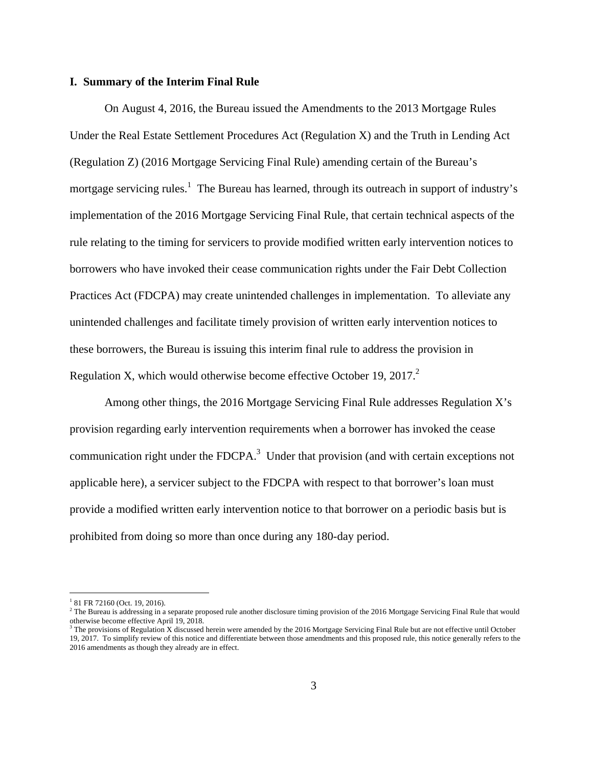## **I. Summary of the Interim Final Rule**

On August 4, 2016, the Bureau issued the Amendments to the 2013 Mortgage Rules Under the Real Estate Settlement Procedures Act (Regulation X) and the Truth in Lending Act (Regulation Z) (2016 Mortgage Servicing Final Rule) amending certain of the Bureau's mortgage servicing rules.<sup>1</sup> The Bureau has learned, through its outreach in support of industry's implementation of the 2016 Mortgage Servicing Final Rule, that certain technical aspects of the rule relating to the timing for servicers to provide modified written early intervention notices to borrowers who have invoked their cease communication rights under the Fair Debt Collection Practices Act (FDCPA) may create unintended challenges in implementation. To alleviate any unintended challenges and facilitate timely provision of written early intervention notices to these borrowers, the Bureau is issuing this interim final rule to address the provision in Regulation X, which would otherwise become effective October 19,  $2017<sup>2</sup>$ .

Among other things, the 2016 Mortgage Servicing Final Rule addresses Regulation X's provision regarding early intervention requirements when a borrower has invoked the cease communication right under the FDCPA. $3$  Under that provision (and with certain exceptions not applicable here), a servicer subject to the FDCPA with respect to that borrower's loan must provide a modified written early intervention notice to that borrower on a periodic basis but is prohibited from doing so more than once during any 180-day period.

 $\overline{a}$ 

<sup>&</sup>lt;sup>1</sup> 81 FR 72160 (Oct. 19, 2016).

<sup>&</sup>lt;sup>2</sup> The Bureau is addressing in a separate proposed rule another disclosure timing provision of the 2016 Mortgage Servicing Final Rule that would otherwise become effective April 19, 2018.

<sup>&</sup>lt;sup>3</sup> The provisions of Regulation X discussed herein were amended by the 2016 Mortgage Servicing Final Rule but are not effective until October 19, 2017. To simplify review of this notice and differentiate between those amendments and this proposed rule, this notice generally refers to the 2016 amendments as though they already are in effect.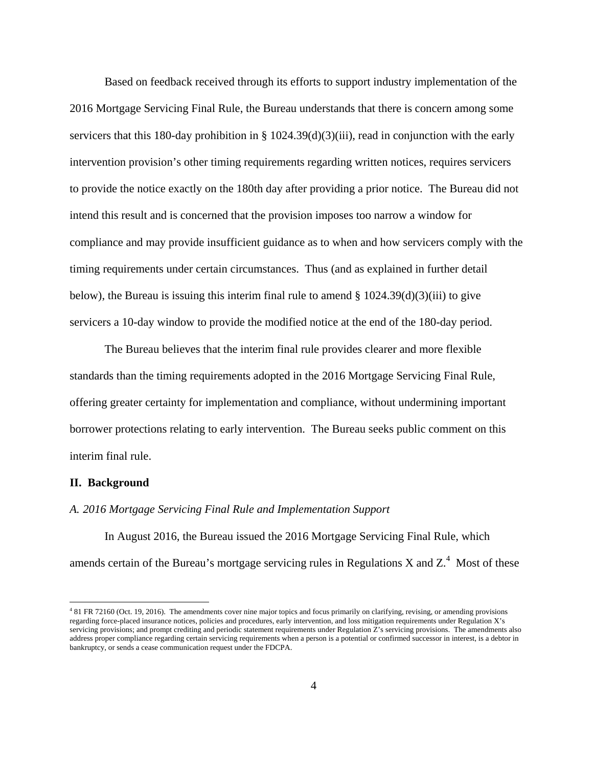Based on feedback received through its efforts to support industry implementation of the 2016 Mortgage Servicing Final Rule, the Bureau understands that there is concern among some servicers that this 180-day prohibition in §  $1024.39(d)(3)(iii)$ , read in conjunction with the early intervention provision's other timing requirements regarding written notices, requires servicers to provide the notice exactly on the 180th day after providing a prior notice. The Bureau did not intend this result and is concerned that the provision imposes too narrow a window for compliance and may provide insufficient guidance as to when and how servicers comply with the timing requirements under certain circumstances. Thus (and as explained in further detail below), the Bureau is issuing this interim final rule to amend  $\S 1024.39(d)(3)(iii)$  to give servicers a 10-day window to provide the modified notice at the end of the 180-day period.

The Bureau believes that the interim final rule provides clearer and more flexible standards than the timing requirements adopted in the 2016 Mortgage Servicing Final Rule, offering greater certainty for implementation and compliance, without undermining important borrower protections relating to early intervention. The Bureau seeks public comment on this interim final rule.

#### **II. Background**

1

# *A. 2016 Mortgage Servicing Final Rule and Implementation Support*

In August 2016, the Bureau issued the 2016 Mortgage Servicing Final Rule, which amends certain of the Bureau's mortgage servicing rules in Regulations X and  $Z^4$ . Most of these

<sup>4</sup> 81 FR 72160 (Oct. 19, 2016). The amendments cover nine major topics and focus primarily on clarifying, revising, or amending provisions regarding force-placed insurance notices, policies and procedures, early intervention, and loss mitigation requirements under Regulation X's servicing provisions; and prompt crediting and periodic statement requirements under Regulation Z's servicing provisions. The amendments also address proper compliance regarding certain servicing requirements when a person is a potential or confirmed successor in interest, is a debtor in bankruptcy, or sends a cease communication request under the FDCPA.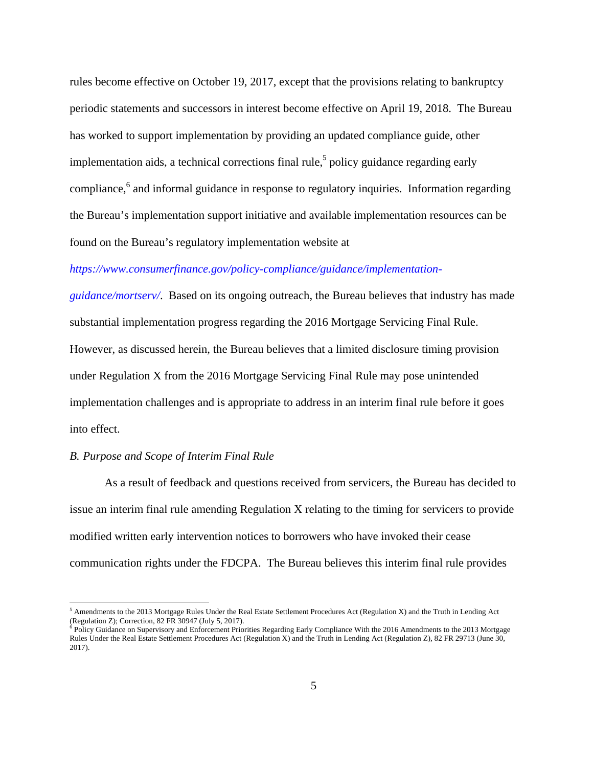rules become effective on October 19, 2017, except that the provisions relating to bankruptcy periodic statements and successors in interest become effective on April 19, 2018. The Bureau has worked to support implementation by providing an updated compliance guide, other implementation aids, a technical corrections final rule,<sup>5</sup> policy guidance regarding early compliance,<sup>6</sup> and informal guidance in response to regulatory inquiries. Information regarding the Bureau's implementation support initiative and available implementation resources can be found on the Bureau's regulatory implementation website at

# *https://www.consumerfinance.gov/policy-compliance/guidance/implementation-*

*guidance/mortserv/*. Based on its ongoing outreach, the Bureau believes that industry has made substantial implementation progress regarding the 2016 Mortgage Servicing Final Rule. However, as discussed herein, the Bureau believes that a limited disclosure timing provision under Regulation X from the 2016 Mortgage Servicing Final Rule may pose unintended implementation challenges and is appropriate to address in an interim final rule before it goes into effect.

# *B. Purpose and Scope of Interim Final Rule*

 $\overline{a}$ 

As a result of feedback and questions received from servicers, the Bureau has decided to issue an interim final rule amending Regulation X relating to the timing for servicers to provide modified written early intervention notices to borrowers who have invoked their cease communication rights under the FDCPA. The Bureau believes this interim final rule provides

 $<sup>5</sup>$  Amendments to the 2013 Mortgage Rules Under the Real Estate Settlement Procedures Act (Regulation X) and the Truth in Lending Act</sup> (Regulation Z); Correction, 82 FR 30947 (July 5, 2017).

<sup>&</sup>lt;sup>6</sup> Policy Guidance on Supervisory and Enforcement Priorities Regarding Early Compliance With the 2016 Amendments to the 2013 Mortgage Rules Under the Real Estate Settlement Procedures Act (Regulation X) and the Truth in Lending Act (Regulation Z), 82 FR 29713 (June 30, 2017).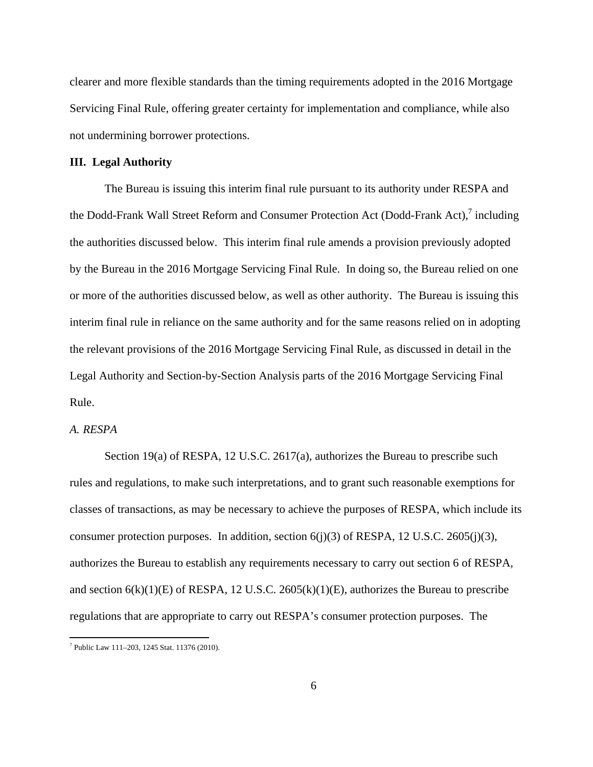clearer and more flexible standards than the timing requirements adopted in the 2016 Mortgage Servicing Final Rule, offering greater certainty for implementation and compliance, while also not undermining borrower protections.

# **III. Legal Authority**

The Bureau is issuing this interim final rule pursuant to its authority under RESPA and the Dodd-Frank Wall Street Reform and Consumer Protection Act (Dodd-Frank Act), $\frac{7}{7}$  including the authorities discussed below. This interim final rule amends a provision previously adopted by the Bureau in the 2016 Mortgage Servicing Final Rule. In doing so, the Bureau relied on one or more of the authorities discussed below, as well as other authority. The Bureau is issuing this interim final rule in reliance on the same authority and for the same reasons relied on in adopting the relevant provisions of the 2016 Mortgage Servicing Final Rule, as discussed in detail in the Legal Authority and Section-by-Section Analysis parts of the 2016 Mortgage Servicing Final Rule.

# *A. RESPA*

Section 19(a) of RESPA, 12 U.S.C. 2617(a), authorizes the Bureau to prescribe such rules and regulations, to make such interpretations, and to grant such reasonable exemptions for classes of transactions, as may be necessary to achieve the purposes of RESPA, which include its consumer protection purposes. In addition, section  $6(j)(3)$  of RESPA, 12 U.S.C. 2605 $(j)(3)$ , authorizes the Bureau to establish any requirements necessary to carry out section 6 of RESPA, and section  $6(k)(1)(E)$  of RESPA, 12 U.S.C. 2605 $(k)(1)(E)$ , authorizes the Bureau to prescribe regulations that are appropriate to carry out RESPA's consumer protection purposes. The

 7 Public Law 111–203, 1245 Stat. 11376 (2010).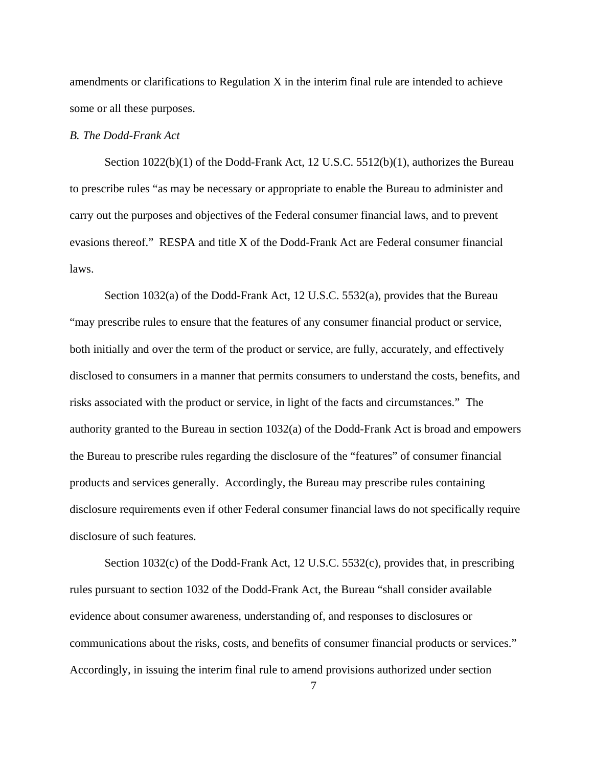amendments or clarifications to Regulation X in the interim final rule are intended to achieve some or all these purposes.

# *B. The Dodd-Frank Act*

Section 1022(b)(1) of the Dodd-Frank Act, 12 U.S.C. 5512(b)(1), authorizes the Bureau to prescribe rules "as may be necessary or appropriate to enable the Bureau to administer and carry out the purposes and objectives of the Federal consumer financial laws, and to prevent evasions thereof." RESPA and title X of the Dodd-Frank Act are Federal consumer financial laws.

Section 1032(a) of the Dodd-Frank Act, 12 U.S.C. 5532(a), provides that the Bureau "may prescribe rules to ensure that the features of any consumer financial product or service, both initially and over the term of the product or service, are fully, accurately, and effectively disclosed to consumers in a manner that permits consumers to understand the costs, benefits, and risks associated with the product or service, in light of the facts and circumstances." The authority granted to the Bureau in section 1032(a) of the Dodd-Frank Act is broad and empowers the Bureau to prescribe rules regarding the disclosure of the "features" of consumer financial products and services generally. Accordingly, the Bureau may prescribe rules containing disclosure requirements even if other Federal consumer financial laws do not specifically require disclosure of such features.

Section 1032(c) of the Dodd-Frank Act, 12 U.S.C. 5532(c), provides that, in prescribing rules pursuant to section 1032 of the Dodd-Frank Act, the Bureau "shall consider available evidence about consumer awareness, understanding of, and responses to disclosures or communications about the risks, costs, and benefits of consumer financial products or services." Accordingly, in issuing the interim final rule to amend provisions authorized under section

7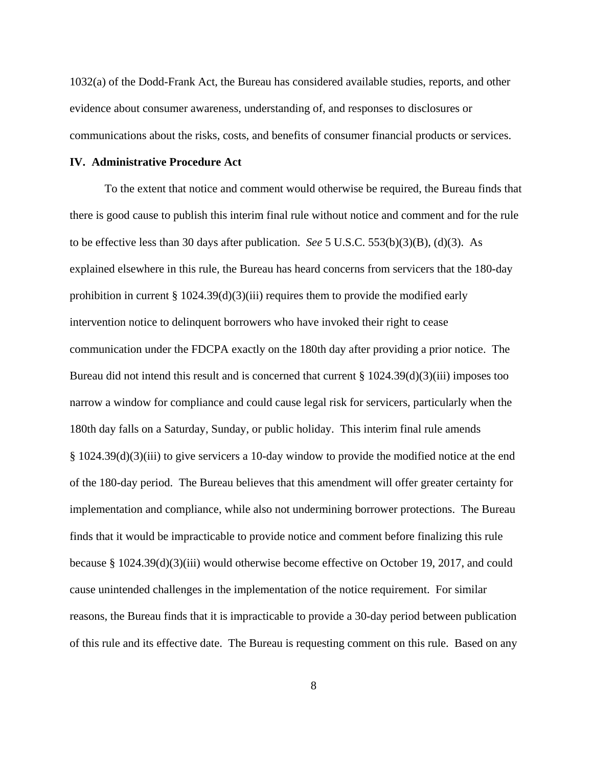1032(a) of the Dodd-Frank Act, the Bureau has considered available studies, reports, and other evidence about consumer awareness, understanding of, and responses to disclosures or communications about the risks, costs, and benefits of consumer financial products or services.

# **IV. Administrative Procedure Act**

To the extent that notice and comment would otherwise be required, the Bureau finds that there is good cause to publish this interim final rule without notice and comment and for the rule to be effective less than 30 days after publication. *See* 5 U.S.C. 553(b)(3)(B), (d)(3). As explained elsewhere in this rule, the Bureau has heard concerns from servicers that the 180-day prohibition in current  $\S 1024.39(d)(3)(iii)$  requires them to provide the modified early intervention notice to delinquent borrowers who have invoked their right to cease communication under the FDCPA exactly on the 180th day after providing a prior notice. The Bureau did not intend this result and is concerned that current § 1024.39(d)(3)(iii) imposes too narrow a window for compliance and could cause legal risk for servicers, particularly when the 180th day falls on a Saturday, Sunday, or public holiday. This interim final rule amends § 1024.39(d)(3)(iii) to give servicers a 10-day window to provide the modified notice at the end of the 180-day period. The Bureau believes that this amendment will offer greater certainty for implementation and compliance, while also not undermining borrower protections. The Bureau finds that it would be impracticable to provide notice and comment before finalizing this rule because § 1024.39(d)(3)(iii) would otherwise become effective on October 19, 2017, and could cause unintended challenges in the implementation of the notice requirement. For similar reasons, the Bureau finds that it is impracticable to provide a 30-day period between publication of this rule and its effective date. The Bureau is requesting comment on this rule. Based on any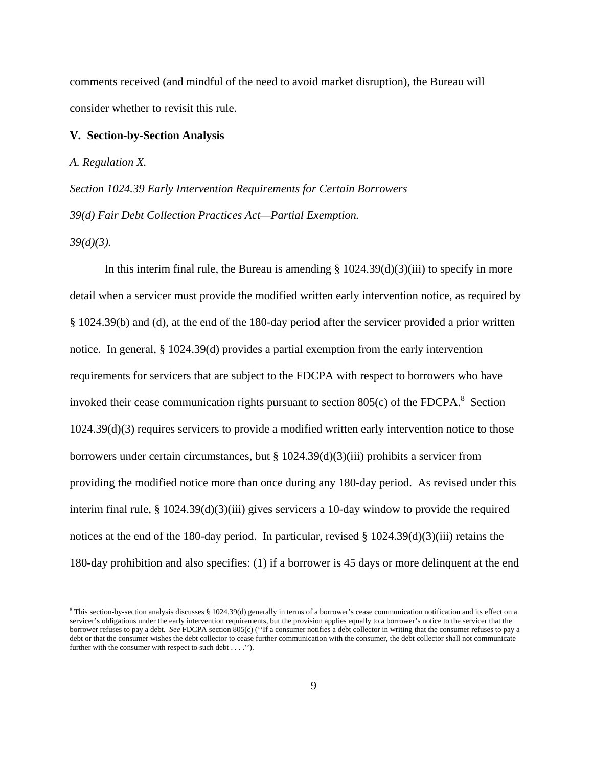comments received (and mindful of the need to avoid market disruption), the Bureau will consider whether to revisit this rule.

#### **V. Section-by-Section Analysis**

*A. Regulation X.* 

*Section 1024.39 Early Intervention Requirements for Certain Borrowers 39(d) Fair Debt Collection Practices Act—Partial Exemption.* 

*39(d)(3).* 

1

In this interim final rule, the Bureau is amending  $\S 1024.39(d)(3)(iii)$  to specify in more detail when a servicer must provide the modified written early intervention notice, as required by § 1024.39(b) and (d), at the end of the 180-day period after the servicer provided a prior written notice. In general, § 1024.39(d) provides a partial exemption from the early intervention requirements for servicers that are subject to the FDCPA with respect to borrowers who have invoked their cease communication rights pursuant to section  $805(c)$  of the FDCPA.<sup>8</sup> Section 1024.39(d)(3) requires servicers to provide a modified written early intervention notice to those borrowers under certain circumstances, but § 1024.39(d)(3)(iii) prohibits a servicer from providing the modified notice more than once during any 180-day period. As revised under this interim final rule, § 1024.39(d)(3)(iii) gives servicers a 10-day window to provide the required notices at the end of the 180-day period. In particular, revised  $\S$  1024.39(d)(3)(iii) retains the 180-day prohibition and also specifies: (1) if a borrower is 45 days or more delinquent at the end

<sup>8</sup> This section-by-section analysis discusses § 1024.39(d) generally in terms of a borrower's cease communication notification and its effect on a servicer's obligations under the early intervention requirements, but the provision applies equally to a borrower's notice to the servicer that the borrower refuses to pay a debt. *See* FDCPA section 805(c) (''If a consumer notifies a debt collector in writing that the consumer refuses to pay a debt or that the consumer wishes the debt collector to cease further communication with the consumer, the debt collector shall not communicate further with the consumer with respect to such debt . . . .'').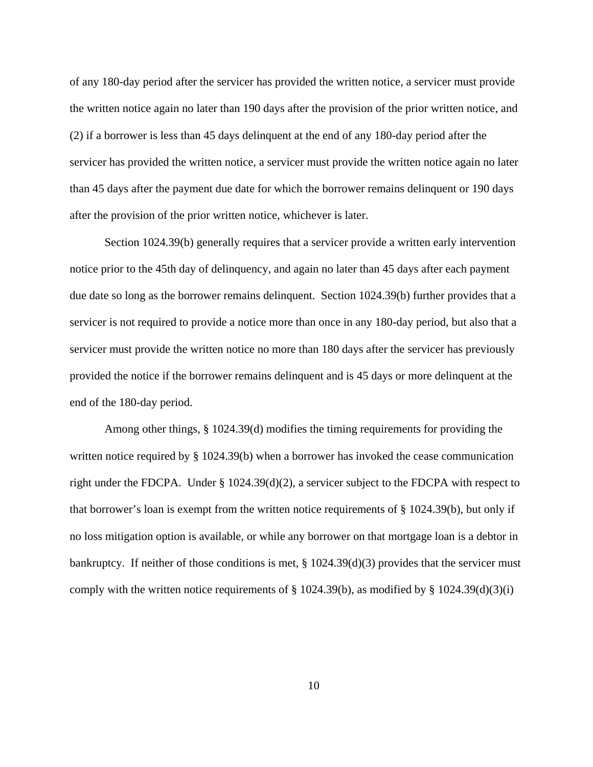of any 180-day period after the servicer has provided the written notice, a servicer must provide the written notice again no later than 190 days after the provision of the prior written notice, and (2) if a borrower is less than 45 days delinquent at the end of any 180-day period after the servicer has provided the written notice, a servicer must provide the written notice again no later than 45 days after the payment due date for which the borrower remains delinquent or 190 days after the provision of the prior written notice, whichever is later.

Section 1024.39(b) generally requires that a servicer provide a written early intervention notice prior to the 45th day of delinquency, and again no later than 45 days after each payment due date so long as the borrower remains delinquent. Section 1024.39(b) further provides that a servicer is not required to provide a notice more than once in any 180-day period, but also that a servicer must provide the written notice no more than 180 days after the servicer has previously provided the notice if the borrower remains delinquent and is 45 days or more delinquent at the end of the 180-day period.

Among other things, § 1024.39(d) modifies the timing requirements for providing the written notice required by § 1024.39(b) when a borrower has invoked the cease communication right under the FDCPA. Under § 1024.39(d)(2), a servicer subject to the FDCPA with respect to that borrower's loan is exempt from the written notice requirements of § 1024.39(b), but only if no loss mitigation option is available, or while any borrower on that mortgage loan is a debtor in bankruptcy. If neither of those conditions is met, § 1024.39(d)(3) provides that the servicer must comply with the written notice requirements of  $\S 1024.39(b)$ , as modified by  $\S 1024.39(d)(3)(i)$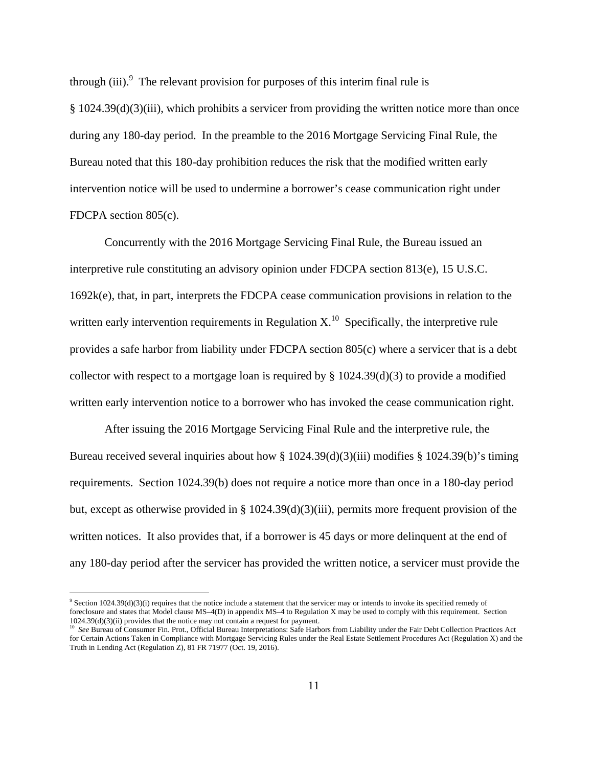through (iii). $\degree$  The relevant provision for purposes of this interim final rule is § 1024.39(d)(3)(iii), which prohibits a servicer from providing the written notice more than once during any 180-day period. In the preamble to the 2016 Mortgage Servicing Final Rule, the Bureau noted that this 180-day prohibition reduces the risk that the modified written early intervention notice will be used to undermine a borrower's cease communication right under FDCPA section 805(c).

Concurrently with the 2016 Mortgage Servicing Final Rule, the Bureau issued an interpretive rule constituting an advisory opinion under FDCPA section 813(e), 15 U.S.C. 1692k(e), that, in part, interprets the FDCPA cease communication provisions in relation to the written early intervention requirements in Regulation  $X<sup>10</sup>$ . Specifically, the interpretive rule provides a safe harbor from liability under FDCPA section 805(c) where a servicer that is a debt collector with respect to a mortgage loan is required by  $\S$  1024.39(d)(3) to provide a modified written early intervention notice to a borrower who has invoked the cease communication right.

After issuing the 2016 Mortgage Servicing Final Rule and the interpretive rule, the Bureau received several inquiries about how § 1024.39(d)(3)(iii) modifies § 1024.39(b)'s timing requirements. Section 1024.39(b) does not require a notice more than once in a 180-day period but, except as otherwise provided in § 1024.39(d)(3)(iii), permits more frequent provision of the written notices. It also provides that, if a borrower is 45 days or more delinquent at the end of any 180-day period after the servicer has provided the written notice, a servicer must provide the

1

<sup>&</sup>lt;sup>9</sup> Section 1024.39(d)(3)(i) requires that the notice include a statement that the servicer may or intends to invoke its specified remedy of foreclosure and states that Model clause MS–4(D) in appendix MS–4 to Regulation X may be used to comply with this requirement. Section  $1024.39(d)(3)(ii)$  provides that the notice may not contain a request for payment.

 $^{10}$  See Bureau of Consumer Fin. Prot., Official Bureau Interpretations: Safe Harbors from Liability under the Fair Debt Collection Practices Act for Certain Actions Taken in Compliance with Mortgage Servicing Rules under the Real Estate Settlement Procedures Act (Regulation X) and the Truth in Lending Act (Regulation Z), 81 FR 71977 (Oct. 19, 2016).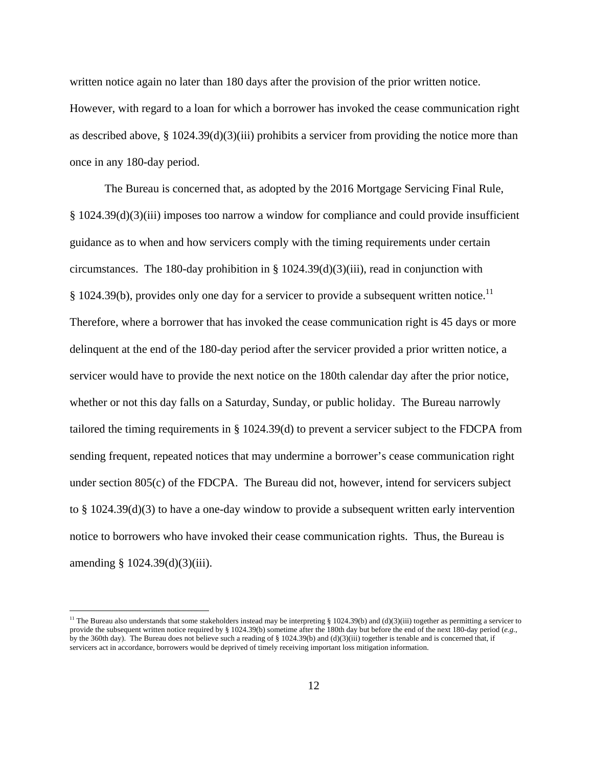written notice again no later than 180 days after the provision of the prior written notice. However, with regard to a loan for which a borrower has invoked the cease communication right as described above,  $\S 1024.39(d)(3)(iii)$  prohibits a servicer from providing the notice more than once in any 180-day period.

The Bureau is concerned that, as adopted by the 2016 Mortgage Servicing Final Rule, § 1024.39(d)(3)(iii) imposes too narrow a window for compliance and could provide insufficient guidance as to when and how servicers comply with the timing requirements under certain circumstances. The 180-day prohibition in §  $1024.39(d)(3)(iii)$ , read in conjunction with § 1024.39(b), provides only one day for a servicer to provide a subsequent written notice.<sup>11</sup> Therefore, where a borrower that has invoked the cease communication right is 45 days or more delinquent at the end of the 180-day period after the servicer provided a prior written notice, a servicer would have to provide the next notice on the 180th calendar day after the prior notice, whether or not this day falls on a Saturday, Sunday, or public holiday. The Bureau narrowly tailored the timing requirements in § 1024.39(d) to prevent a servicer subject to the FDCPA from sending frequent, repeated notices that may undermine a borrower's cease communication right under section 805(c) of the FDCPA. The Bureau did not, however, intend for servicers subject to § 1024.39(d)(3) to have a one-day window to provide a subsequent written early intervention notice to borrowers who have invoked their cease communication rights. Thus, the Bureau is amending § 1024.39(d)(3)(iii).

<u>.</u>

<sup>&</sup>lt;sup>11</sup> The Bureau also understands that some stakeholders instead may be interpreting § 1024.39(b) and (d)(3)(iii) together as permitting a servicer to provide the subsequent written notice required by § 1024.39(b) sometime after the 180th day but before the end of the next 180-day period (*e.g.*, by the 360th day). The Bureau does not believe such a reading of § 1024.39(b) and (d)(3)(iii) together is tenable and is concerned that, if servicers act in accordance, borrowers would be deprived of timely receiving important loss mitigation information.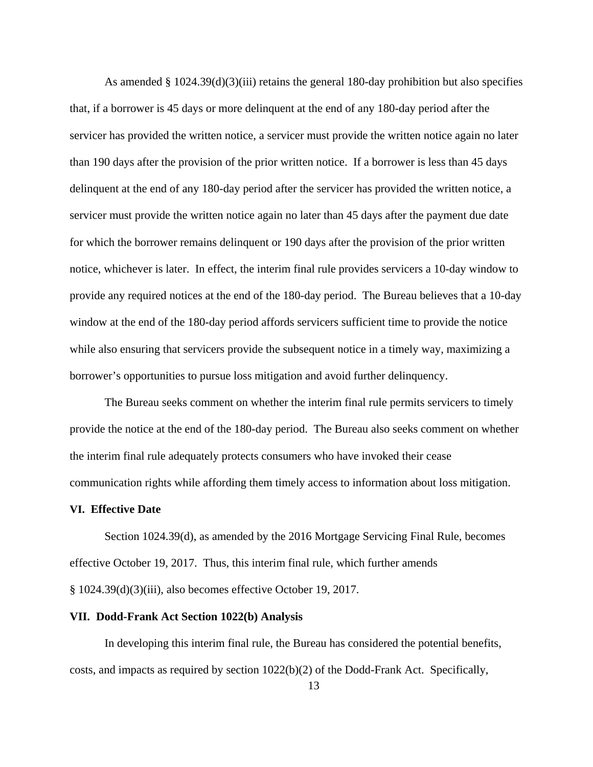As amended § 1024.39(d)(3)(iii) retains the general 180-day prohibition but also specifies that, if a borrower is 45 days or more delinquent at the end of any 180-day period after the servicer has provided the written notice, a servicer must provide the written notice again no later than 190 days after the provision of the prior written notice. If a borrower is less than 45 days delinquent at the end of any 180-day period after the servicer has provided the written notice, a servicer must provide the written notice again no later than 45 days after the payment due date for which the borrower remains delinquent or 190 days after the provision of the prior written notice, whichever is later. In effect, the interim final rule provides servicers a 10-day window to provide any required notices at the end of the 180-day period. The Bureau believes that a 10-day window at the end of the 180-day period affords servicers sufficient time to provide the notice while also ensuring that servicers provide the subsequent notice in a timely way, maximizing a borrower's opportunities to pursue loss mitigation and avoid further delinquency.

The Bureau seeks comment on whether the interim final rule permits servicers to timely provide the notice at the end of the 180-day period. The Bureau also seeks comment on whether the interim final rule adequately protects consumers who have invoked their cease communication rights while affording them timely access to information about loss mitigation.

#### **VI. Effective Date**

Section 1024.39(d), as amended by the 2016 Mortgage Servicing Final Rule, becomes effective October 19, 2017. Thus, this interim final rule, which further amends § 1024.39(d)(3)(iii), also becomes effective October 19, 2017.

# **VII. Dodd-Frank Act Section 1022(b) Analysis**

In developing this interim final rule, the Bureau has considered the potential benefits, costs, and impacts as required by section 1022(b)(2) of the Dodd-Frank Act. Specifically,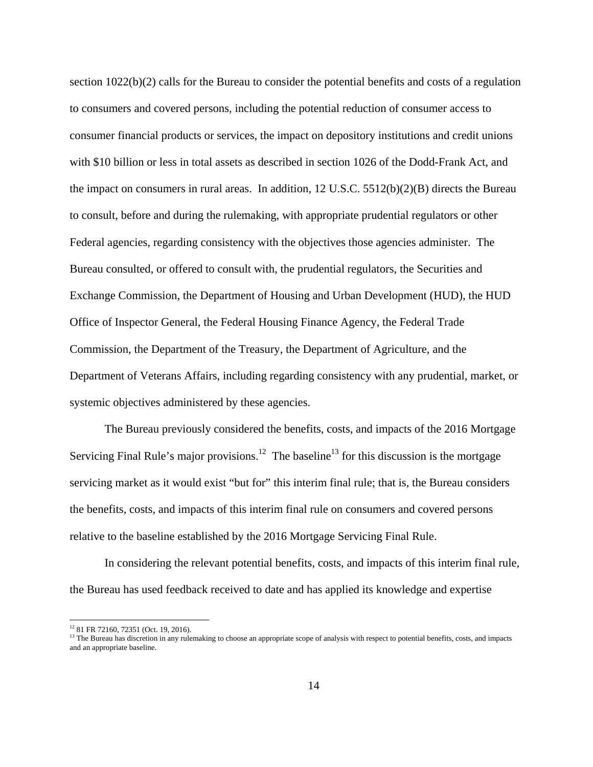section 1022(b)(2) calls for the Bureau to consider the potential benefits and costs of a regulation to consumers and covered persons, including the potential reduction of consumer access to consumer financial products or services, the impact on depository institutions and credit unions with \$10 billion or less in total assets as described in section 1026 of the Dodd-Frank Act, and the impact on consumers in rural areas. In addition, 12 U.S.C. 5512(b)(2)(B) directs the Bureau to consult, before and during the rulemaking, with appropriate prudential regulators or other Federal agencies, regarding consistency with the objectives those agencies administer. The Bureau consulted, or offered to consult with, the prudential regulators, the Securities and Exchange Commission, the Department of Housing and Urban Development (HUD), the HUD Office of Inspector General, the Federal Housing Finance Agency, the Federal Trade Commission, the Department of the Treasury, the Department of Agriculture, and the Department of Veterans Affairs, including regarding consistency with any prudential, market, or systemic objectives administered by these agencies.

The Bureau previously considered the benefits, costs, and impacts of the 2016 Mortgage Servicing Final Rule's major provisions.<sup>12</sup> The baseline<sup>13</sup> for this discussion is the mortgage servicing market as it would exist "but for" this interim final rule; that is, the Bureau considers the benefits, costs, and impacts of this interim final rule on consumers and covered persons relative to the baseline established by the 2016 Mortgage Servicing Final Rule.

In considering the relevant potential benefits, costs, and impacts of this interim final rule, the Bureau has used feedback received to date and has applied its knowledge and expertise

 $\overline{a}$ 

<sup>12 81</sup> FR 72160, 72351 (Oct. 19, 2016).

<sup>&</sup>lt;sup>13</sup> The Bureau has discretion in any rulemaking to choose an appropriate scope of analysis with respect to potential benefits, costs, and impacts and an appropriate baseline.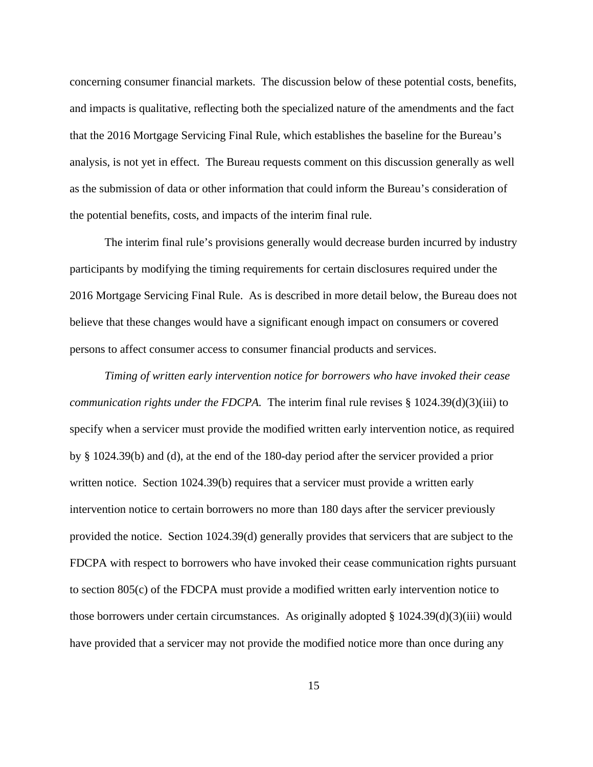concerning consumer financial markets. The discussion below of these potential costs, benefits, and impacts is qualitative, reflecting both the specialized nature of the amendments and the fact that the 2016 Mortgage Servicing Final Rule, which establishes the baseline for the Bureau's analysis, is not yet in effect. The Bureau requests comment on this discussion generally as well as the submission of data or other information that could inform the Bureau's consideration of the potential benefits, costs, and impacts of the interim final rule.

The interim final rule's provisions generally would decrease burden incurred by industry participants by modifying the timing requirements for certain disclosures required under the 2016 Mortgage Servicing Final Rule. As is described in more detail below, the Bureau does not believe that these changes would have a significant enough impact on consumers or covered persons to affect consumer access to consumer financial products and services.

*Timing of written early intervention notice for borrowers who have invoked their cease communication rights under the FDCPA.* The interim final rule revises § 1024.39(d)(3)(iii) to specify when a servicer must provide the modified written early intervention notice, as required by § 1024.39(b) and (d), at the end of the 180-day period after the servicer provided a prior written notice. Section 1024.39(b) requires that a servicer must provide a written early intervention notice to certain borrowers no more than 180 days after the servicer previously provided the notice. Section 1024.39(d) generally provides that servicers that are subject to the FDCPA with respect to borrowers who have invoked their cease communication rights pursuant to section 805(c) of the FDCPA must provide a modified written early intervention notice to those borrowers under certain circumstances. As originally adopted  $\S 1024.39(d)(3)(iii)$  would have provided that a servicer may not provide the modified notice more than once during any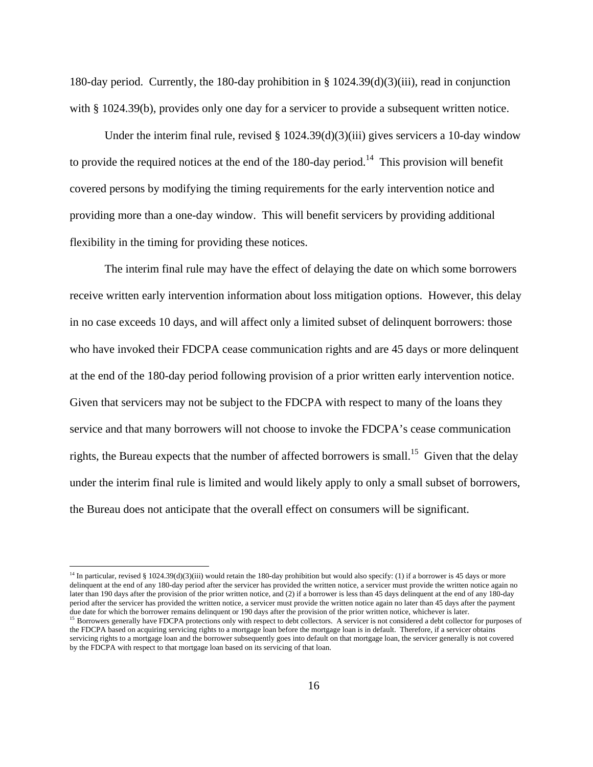180-day period. Currently, the 180-day prohibition in § 1024.39(d)(3)(iii), read in conjunction with § 1024.39(b), provides only one day for a servicer to provide a subsequent written notice.

Under the interim final rule, revised  $\S 1024.39(d)(3)(iii)$  gives servicers a 10-day window to provide the required notices at the end of the 180-day period.<sup>14</sup> This provision will benefit covered persons by modifying the timing requirements for the early intervention notice and providing more than a one-day window. This will benefit servicers by providing additional flexibility in the timing for providing these notices.

The interim final rule may have the effect of delaying the date on which some borrowers receive written early intervention information about loss mitigation options. However, this delay in no case exceeds 10 days, and will affect only a limited subset of delinquent borrowers: those who have invoked their FDCPA cease communication rights and are 45 days or more delinquent at the end of the 180-day period following provision of a prior written early intervention notice. Given that servicers may not be subject to the FDCPA with respect to many of the loans they service and that many borrowers will not choose to invoke the FDCPA's cease communication rights, the Bureau expects that the number of affected borrowers is small.<sup>15</sup> Given that the delay under the interim final rule is limited and would likely apply to only a small subset of borrowers, the Bureau does not anticipate that the overall effect on consumers will be significant.

 $\overline{a}$ 

<sup>&</sup>lt;sup>14</sup> In particular, revised § 1024.39(d)(3)(iii) would retain the 180-day prohibition but would also specify: (1) if a borrower is 45 days or more delinquent at the end of any 180-day period after the servicer has provided the written notice, a servicer must provide the written notice again no later than 190 days after the provision of the prior written notice, and (2) if a borrower is less than 45 days delinquent at the end of any 180-day period after the servicer has provided the written notice, a servicer must provide the written notice again no later than 45 days after the payment due date for which the borrower remains delinquent or 190 days after the p

<sup>&</sup>lt;sup>15</sup> Borrowers generally have FDCPA protections only with respect to debt collectors. A servicer is not considered a debt collector for purposes of the FDCPA based on acquiring servicing rights to a mortgage loan before the mortgage loan is in default. Therefore, if a servicer obtains servicing rights to a mortgage loan and the borrower subsequently goes into default on that mortgage loan, the servicer generally is not covered by the FDCPA with respect to that mortgage loan based on its servicing of that loan.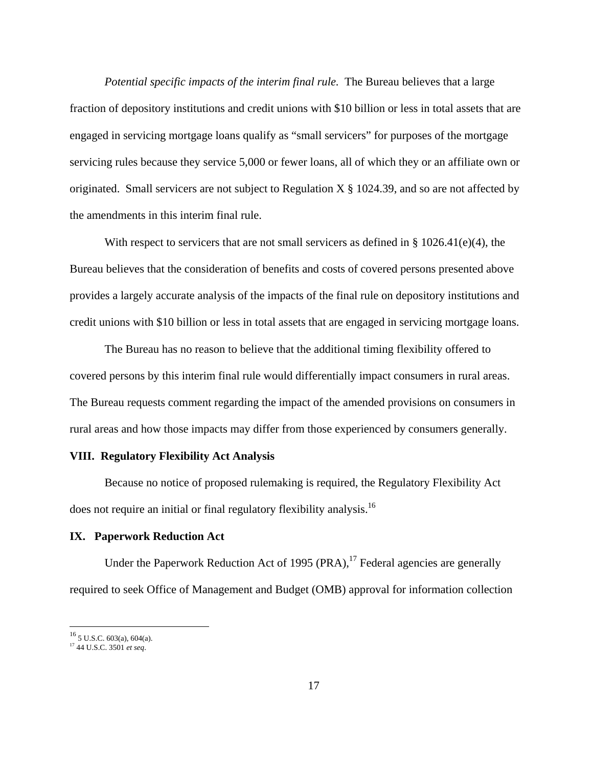*Potential specific impacts of the interim final rule.* The Bureau believes that a large fraction of depository institutions and credit unions with \$10 billion or less in total assets that are engaged in servicing mortgage loans qualify as "small servicers" for purposes of the mortgage servicing rules because they service 5,000 or fewer loans, all of which they or an affiliate own or originated. Small servicers are not subject to Regulation  $X \S 1024.39$ , and so are not affected by the amendments in this interim final rule.

With respect to servicers that are not small servicers as defined in § 1026.41(e)(4), the Bureau believes that the consideration of benefits and costs of covered persons presented above provides a largely accurate analysis of the impacts of the final rule on depository institutions and credit unions with \$10 billion or less in total assets that are engaged in servicing mortgage loans.

The Bureau has no reason to believe that the additional timing flexibility offered to covered persons by this interim final rule would differentially impact consumers in rural areas. The Bureau requests comment regarding the impact of the amended provisions on consumers in rural areas and how those impacts may differ from those experienced by consumers generally.

# **VIII. Regulatory Flexibility Act Analysis**

Because no notice of proposed rulemaking is required, the Regulatory Flexibility Act does not require an initial or final regulatory flexibility analysis.<sup>16</sup>

# **IX. Paperwork Reduction Act**

Under the Paperwork Reduction Act of 1995  $(PRA)$ , <sup>17</sup> Federal agencies are generally required to seek Office of Management and Budget (OMB) approval for information collection

1

 $16$  5 U.S.C. 603(a), 604(a).

<sup>17 44</sup> U.S.C. 3501 *et seq*.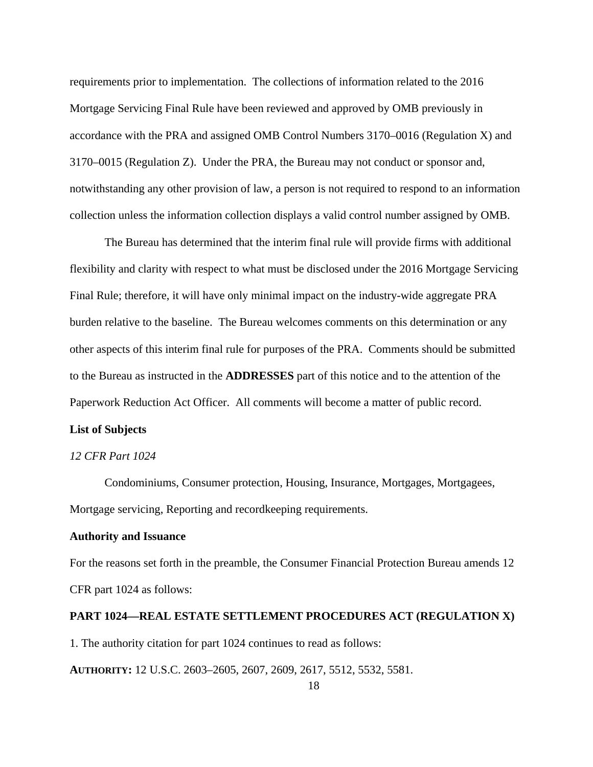requirements prior to implementation. The collections of information related to the 2016 Mortgage Servicing Final Rule have been reviewed and approved by OMB previously in accordance with the PRA and assigned OMB Control Numbers 3170–0016 (Regulation X) and 3170–0015 (Regulation Z). Under the PRA, the Bureau may not conduct or sponsor and, notwithstanding any other provision of law, a person is not required to respond to an information collection unless the information collection displays a valid control number assigned by OMB.

The Bureau has determined that the interim final rule will provide firms with additional flexibility and clarity with respect to what must be disclosed under the 2016 Mortgage Servicing Final Rule; therefore, it will have only minimal impact on the industry-wide aggregate PRA burden relative to the baseline. The Bureau welcomes comments on this determination or any other aspects of this interim final rule for purposes of the PRA. Comments should be submitted to the Bureau as instructed in the **ADDRESSES** part of this notice and to the attention of the Paperwork Reduction Act Officer. All comments will become a matter of public record.

# **List of Subjects**

## *12 CFR Part 1024*

Condominiums, Consumer protection, Housing, Insurance, Mortgages, Mortgagees, Mortgage servicing, Reporting and recordkeeping requirements.

# **Authority and Issuance**

For the reasons set forth in the preamble, the Consumer Financial Protection Bureau amends 12 CFR part 1024 as follows:

#### **PART 1024—REAL ESTATE SETTLEMENT PROCEDURES ACT (REGULATION X)**

1. The authority citation for part 1024 continues to read as follows:

**AUTHORITY:** 12 U.S.C. 2603–2605, 2607, 2609, 2617, 5512, 5532, 5581.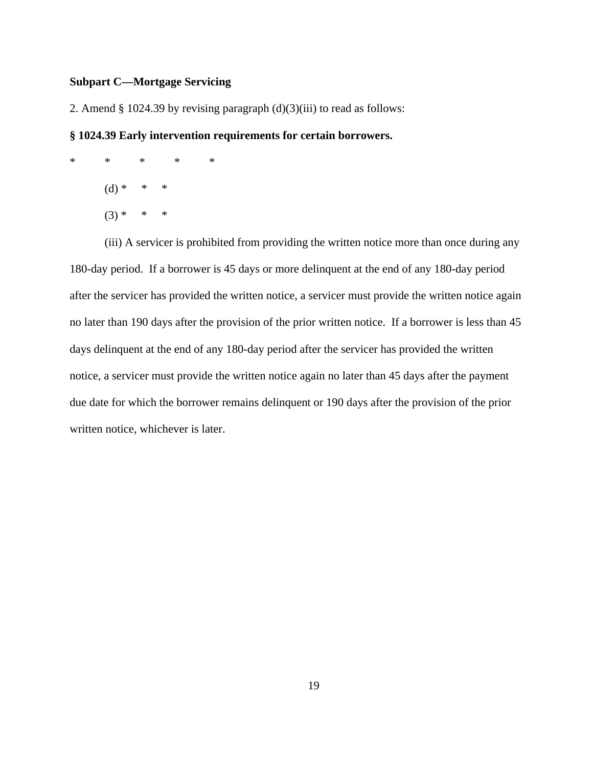# **Subpart C—Mortgage Servicing**

2. Amend  $\S 1024.39$  by revising paragraph  $(d)(3)(iii)$  to read as follows:

# **§ 1024.39 Early intervention requirements for certain borrowers.**

\* \* \* \* \*  $(d) * * * * *$  $(3) * * * * *$ 

(iii) A servicer is prohibited from providing the written notice more than once during any 180-day period. If a borrower is 45 days or more delinquent at the end of any 180-day period after the servicer has provided the written notice, a servicer must provide the written notice again no later than 190 days after the provision of the prior written notice. If a borrower is less than 45 days delinquent at the end of any 180-day period after the servicer has provided the written notice, a servicer must provide the written notice again no later than 45 days after the payment due date for which the borrower remains delinquent or 190 days after the provision of the prior written notice, whichever is later.